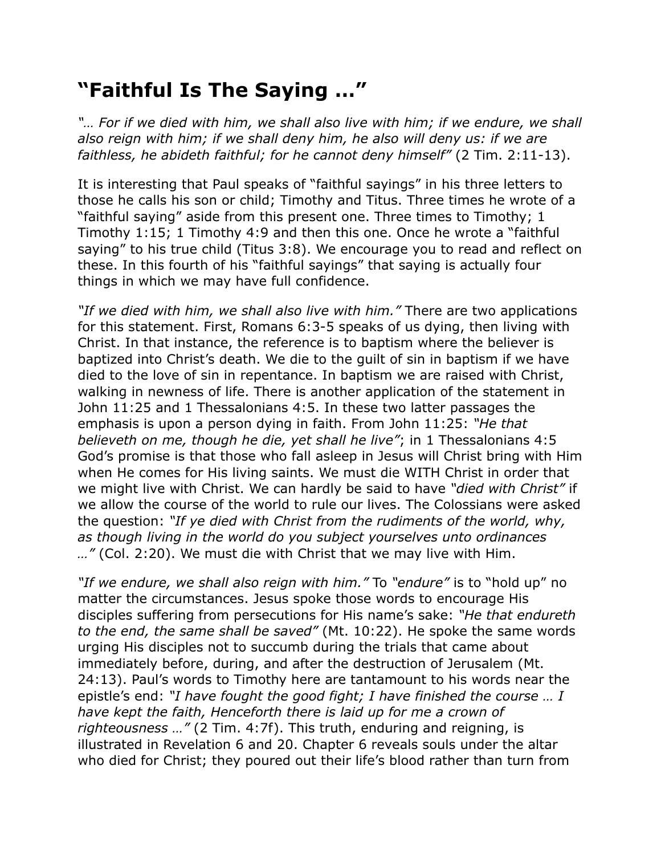## **"Faithful Is The Saying …"**

*"… For if we died with him, we shall also live with him; if we endure, we shall also reign with him; if we shall deny him, he also will deny us: if we are faithless, he abideth faithful; for he cannot deny himself"* (2 Tim. 2:11-13).

It is interesting that Paul speaks of "faithful sayings" in his three letters to those he calls his son or child; Timothy and Titus. Three times he wrote of a "faithful saying" aside from this present one. Three times to Timothy; 1 Timothy 1:15; 1 Timothy 4:9 and then this one. Once he wrote a "faithful saying" to his true child (Titus 3:8). We encourage you to read and reflect on these. In this fourth of his "faithful sayings" that saying is actually four things in which we may have full confidence.

*"If we died with him, we shall also live with him."* There are two applications for this statement. First, Romans 6:3-5 speaks of us dying, then living with Christ. In that instance, the reference is to baptism where the believer is baptized into Christ's death. We die to the guilt of sin in baptism if we have died to the love of sin in repentance. In baptism we are raised with Christ, walking in newness of life. There is another application of the statement in John 11:25 and 1 Thessalonians 4:5. In these two latter passages the emphasis is upon a person dying in faith. From John 11:25: *"He that believeth on me, though he die, yet shall he live"*; in 1 Thessalonians 4:5 God's promise is that those who fall asleep in Jesus will Christ bring with Him when He comes for His living saints. We must die WITH Christ in order that we might live with Christ. We can hardly be said to have *"died with Christ"* if we allow the course of the world to rule our lives. The Colossians were asked the question: *"If ye died with Christ from the rudiments of the world, why, as though living in the world do you subject yourselves unto ordinances …"* (Col. 2:20). We must die with Christ that we may live with Him.

*"If we endure, we shall also reign with him."* To *"endure"* is to "hold up" no matter the circumstances. Jesus spoke those words to encourage His disciples suffering from persecutions for His name's sake: *"He that endureth to the end, the same shall be saved"* (Mt. 10:22). He spoke the same words urging His disciples not to succumb during the trials that came about immediately before, during, and after the destruction of Jerusalem (Mt. 24:13). Paul's words to Timothy here are tantamount to his words near the epistle's end: *"I have fought the good fight; I have finished the course … I have kept the faith, Henceforth there is laid up for me a crown of righteousness …"* (2 Tim. 4:7f). This truth, enduring and reigning, is illustrated in Revelation 6 and 20. Chapter 6 reveals souls under the altar who died for Christ; they poured out their life's blood rather than turn from